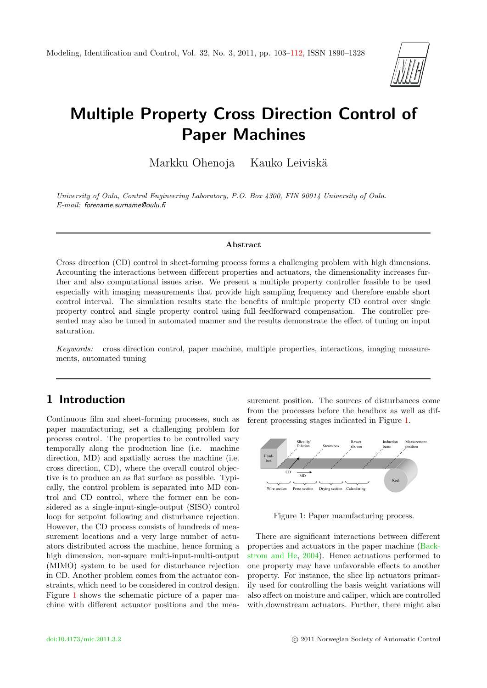

# Multiple Property Cross Direction Control of Paper Machines

Markku Ohenoja Kauko Leiviskä

University of Oulu, Control Engineering Laboratory, P.O. Box 4300, FIN 90014 University of Oulu. E-mail: forename.surname@oulu.fi

#### Abstract

Cross direction (CD) control in sheet-forming process forms a challenging problem with high dimensions. Accounting the interactions between different properties and actuators, the dimensionality increases further and also computational issues arise. We present a multiple property controller feasible to be used especially with imaging measurements that provide high sampling frequency and therefore enable short control interval. The simulation results state the benefits of multiple property CD control over single property control and single property control using full feedforward compensation. The controller presented may also be tuned in automated manner and the results demonstrate the effect of tuning on input saturation.

Keywords: cross direction control, paper machine, multiple properties, interactions, imaging measurements, automated tuning

# 1 Introduction

Continuous film and sheet-forming processes, such as paper manufacturing, set a challenging problem for process control. The properties to be controlled vary temporally along the production line (i.e. machine direction, MD) and spatially across the machine (i.e. cross direction, CD), where the overall control objective is to produce an as flat surface as possible. Typically, the control problem is separated into MD control and CD control, where the former can be considered as a single-input-single-output (SISO) control loop for setpoint following and disturbance rejection. However, the CD process consists of hundreds of measurement locations and a very large number of actuators distributed across the machine, hence forming a high dimension, non-square multi-input-multi-output (MIMO) system to be used for disturbance rejection in CD. Another problem comes from the actuator constraints, which need to be considered in control design. Figure [1](#page-0-0) shows the schematic picture of a paper machine with different actuator positions and the measurement position. The sources of disturbances come from the processes before the headbox as well as different processing stages indicated in Figure [1.](#page-0-0)



<span id="page-0-0"></span>Figure 1: Paper manufacturing process.

There are significant interactions between different properties and actuators in the paper machine [\(Back](#page-8-0)[strom and He,](#page-8-0) [2004\)](#page-8-0). Hence actuations performed to one property may have unfavorable effects to another property. For instance, the slice lip actuators primarily used for controlling the basis weight variations will also affect on moisture and caliper, which are controlled with downstream actuators. Further, there might also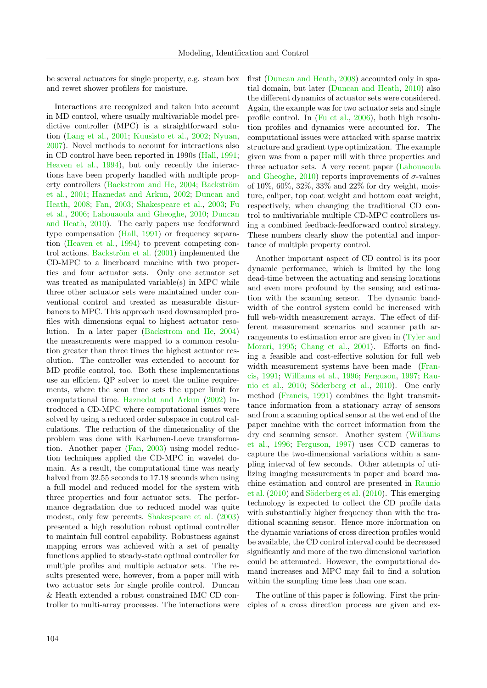be several actuators for single property, e.g. steam box and rewet shower profilers for moisture.

Interactions are recognized and taken into account in MD control, where usually multivariable model predictive controller (MPC) is a straightforward solution [\(Lang et al.,](#page-8-1) [2001;](#page-8-1) [Kuusisto et al.,](#page-8-2) [2002;](#page-8-2) [Nyuan,](#page-8-3) [2007\)](#page-8-3). Novel methods to account for interactions also in CD control have been reported in 1990s [\(Hall,](#page-8-4) [1991;](#page-8-4) [Heaven et al.,](#page-8-5) [1994\)](#page-8-5), but only recently the interactions have been properly handled with multiple prop-erty controllers [\(Backstrom and He,](#page-8-0) [2004;](#page-8-0) Backström [et al.,](#page-8-6) [2001;](#page-8-6) [Haznedat and Arkun,](#page-8-7) [2002;](#page-8-7) [Duncan and](#page-8-8) [Heath,](#page-8-8) [2008;](#page-8-8) [Fan,](#page-8-9) [2003;](#page-8-9) [Shakespeare et al.,](#page-9-1) [2003;](#page-9-1) [Fu](#page-8-10) [et al.,](#page-8-10) [2006;](#page-8-10) [Lahouaoula and Gheoghe,](#page-8-11) [2010;](#page-8-11) [Duncan](#page-8-12) [and Heath,](#page-8-12) [2010\)](#page-8-12). The early papers use feedforward type compensation [\(Hall,](#page-8-4) [1991\)](#page-8-4) or frequency separation [\(Heaven et al.,](#page-8-5) [1994\)](#page-8-5) to prevent competing control actions. Backström et al.  $(2001)$  implemented the CD-MPC to a linerboard machine with two properties and four actuator sets. Only one actuator set was treated as manipulated variable(s) in MPC while three other actuator sets were maintained under conventional control and treated as measurable disturbances to MPC. This approach used downsampled profiles with dimensions equal to highest actuator resolution. In a later paper [\(Backstrom and He,](#page-8-0) [2004\)](#page-8-0) the measurements were mapped to a common resolution greater than three times the highest actuator resolution. The controller was extended to account for MD profile control, too. Both these implementations use an efficient QP solver to meet the online requirements, where the scan time sets the upper limit for computational time. [Haznedat and Arkun](#page-8-7) [\(2002\)](#page-8-7) introduced a CD-MPC where computational issues were solved by using a reduced order subspace in control calculations. The reduction of the dimensionality of the problem was done with Karhunen-Loeve transformation. Another paper [\(Fan,](#page-8-9) [2003\)](#page-8-9) using model reduction techniques applied the CD-MPC in wavelet domain. As a result, the computational time was nearly halved from 32.55 seconds to 17.18 seconds when using a full model and reduced model for the system with three properties and four actuator sets. The performance degradation due to reduced model was quite modest, only few percents. [Shakespeare et al.](#page-9-1) [\(2003\)](#page-9-1) presented a high resolution robust optimal controller to maintain full control capability. Robustness against mapping errors was achieved with a set of penalty functions applied to steady-state optimal controller for multiple profiles and multiple actuator sets. The results presented were, however, from a paper mill with two actuator sets for single profile control. Duncan & Heath extended a robust constrained IMC CD controller to multi-array processes. The interactions were first [\(Duncan and Heath,](#page-8-8) [2008\)](#page-8-8) accounted only in spatial domain, but later [\(Duncan and Heath,](#page-8-12) [2010\)](#page-8-12) also the different dynamics of actuator sets were considered. Again, the example was for two actuator sets and single profile control. In [\(Fu et al.,](#page-8-10) [2006\)](#page-8-10), both high resolution profiles and dynamics were accounted for. The computational issues were attacked with sparse matrix structure and gradient type optimization. The example given was from a paper mill with three properties and three actuator sets. A very recent paper [\(Lahouaoula](#page-8-11) [and Gheoghe,](#page-8-11) [2010\)](#page-8-11) reports improvements of  $\sigma$ -values of 10%, 60%, 32%, 33% and 22% for dry weight, moisture, caliper, top coat weight and bottom coat weight, respectively, when changing the traditional CD control to multivariable multiple CD-MPC controllers using a combined feedback-feedforward control strategy. These numbers clearly show the potential and importance of multiple property control.

Another important aspect of CD control is its poor dynamic performance, which is limited by the long dead-time between the actuating and sensing locations and even more profound by the sensing and estimation with the scanning sensor. The dynamic bandwidth of the control system could be increased with full web-width measurement arrays. The effect of different measurement scenarios and scanner path arrangements to estimation error are given in [\(Tyler and](#page-9-2) [Morari,](#page-9-2) [1995;](#page-9-2) [Chang et al.,](#page-8-13) [2001\)](#page-8-13). Efforts on finding a feasible and cost-effective solution for full web width measurement systems have been made [\(Fran](#page-8-14)[cis,](#page-8-14) [1991;](#page-8-14) [Williams et al.,](#page-9-3) [1996;](#page-9-3) [Ferguson,](#page-8-15) [1997;](#page-8-15) [Rau](#page-9-4)[nio et al.,](#page-9-4) [2010;](#page-9-4) Söderberg et al., [2010\)](#page-9-5). One early method [\(Francis,](#page-8-14) [1991\)](#page-8-14) combines the light transmittance information from a stationary array of sensors and from a scanning optical sensor at the wet end of the paper machine with the correct information from the dry end scanning sensor. Another system [\(Williams](#page-9-3) [et al.,](#page-9-3) [1996;](#page-9-3) [Ferguson,](#page-8-15) [1997\)](#page-8-15) uses CCD cameras to capture the two-dimensional variations within a sampling interval of few seconds. Other attempts of utilizing imaging measurements in paper and board machine estimation and control are presented in [Raunio](#page-9-4) [et al.](#page-9-4)  $(2010)$  and Söderberg et al.  $(2010)$ . This emerging technology is expected to collect the CD profile data with substantially higher frequency than with the traditional scanning sensor. Hence more information on the dynamic variations of cross direction profiles would be available, the CD control interval could be decreased significantly and more of the two dimensional variation could be attenuated. However, the computational demand increases and MPC may fail to find a solution within the sampling time less than one scan.

The outline of this paper is following. First the principles of a cross direction process are given and ex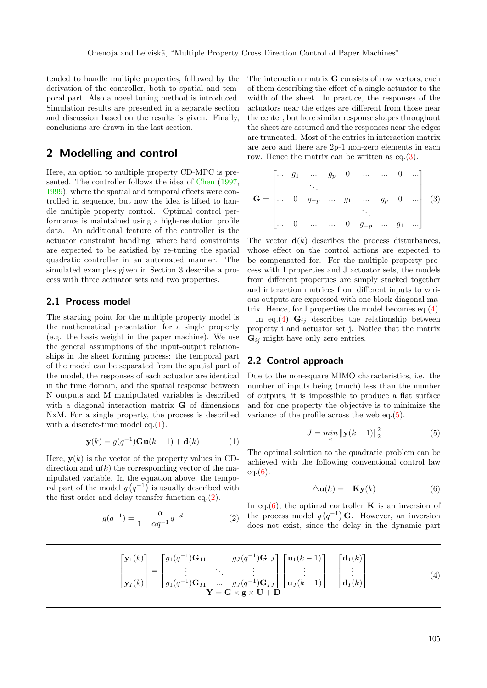tended to handle multiple properties, followed by the derivation of the controller, both to spatial and temporal part. Also a novel tuning method is introduced. Simulation results are presented in a separate section and discussion based on the results is given. Finally, conclusions are drawn in the last section.

# 2 Modelling and control

Here, an option to multiple property CD-MPC is presented. The controller follows the idea of [Chen](#page-8-16) [\(1997,](#page-8-16) [1999\)](#page-8-17), where the spatial and temporal effects were controlled in sequence, but now the idea is lifted to handle multiple property control. Optimal control performance is maintained using a high-resolution profile data. An additional feature of the controller is the actuator constraint handling, where hard constraints are expected to be satisfied by re-tuning the spatial quadratic controller in an automated manner. The simulated examples given in Section 3 describe a process with three actuator sets and two properties.

## 2.1 Process model

The starting point for the multiple property model is the mathematical presentation for a single property (e.g. the basis weight in the paper machine). We use the general assumptions of the input-output relationships in the sheet forming process: the temporal part of the model can be separated from the spatial part of the model, the responses of each actuator are identical in the time domain, and the spatial response between N outputs and M manipulated variables is described with a diagonal interaction matrix G of dimensions NxM. For a single property, the process is described with a discrete-time model eq.[\(1\)](#page-2-0).

$$
\mathbf{y}(k) = g(q^{-1})\mathbf{G}\mathbf{u}(k-1) + \mathbf{d}(k) \tag{1}
$$

Here,  $y(k)$  is the vector of the property values in CDdirection and  $\mathbf{u}(k)$  the corresponding vector of the manipulated variable. In the equation above, the temporal part of the model  $g(q^{-1})$  is usually described with the first order and delay transfer function eq.[\(2\)](#page-2-1).

$$
g(q^{-1}) = \frac{1 - \alpha}{1 - \alpha q^{-1}} q^{-d} \tag{2}
$$

The interaction matrix G consists of row vectors, each of them describing the effect of a single actuator to the width of the sheet. In practice, the responses of the actuators near the edges are different from those near the center, but here similar response shapes throughout the sheet are assumed and the responses near the edges are truncated. Most of the entries in interaction matrix are zero and there are 2p-1 non-zero elements in each row. Hence the matrix can be written as eq.[\(3\)](#page-2-2).

<span id="page-2-2"></span>
$$
\mathbf{G} = \begin{bmatrix} \cdots & g_1 & \cdots & g_p & 0 & \cdots & \cdots & 0 & \cdots \\ & & \ddots & & & & \\ \cdots & 0 & g_{-p} & \cdots & g_1 & \cdots & g_p & 0 & \cdots \\ & & & & & \ddots & & \\ \cdots & 0 & \cdots & \cdots & 0 & g_{-p} & \cdots & g_1 & \cdots \end{bmatrix} (3)
$$

The vector  $\mathbf{d}(k)$  describes the process disturbances, whose effect on the control actions are expected to be compensated for. For the multiple property process with I properties and J actuator sets, the models from different properties are simply stacked together and interaction matrices from different inputs to various outputs are expressed with one block-diagonal matrix. Hence, for I properties the model becomes  $eq.(4)$  $eq.(4)$ .

In eq.[\(4\)](#page-2-3)  $\mathbf{G}_{ij}$  describes the relationship between property i and actuator set j. Notice that the matrix  $\mathbf{G}_{ij}$  might have only zero entries.

### 2.2 Control approach

Due to the non-square MIMO characteristics, i.e. the number of inputs being (much) less than the number of outputs, it is impossible to produce a flat surface and for one property the objective is to minimize the variance of the profile across the web eq.[\(5\)](#page-2-4).

<span id="page-2-4"></span>
$$
J = \min_{u} \|\mathbf{y}(k+1)\|_{2}^{2}
$$
 (5)

<span id="page-2-0"></span>The optimal solution to the quadratic problem can be achieved with the following conventional control law  $eq.(6).$  $eq.(6).$  $eq.(6).$ 

<span id="page-2-5"></span><span id="page-2-3"></span>
$$
\Delta \mathbf{u}(k) = -\mathbf{K} \mathbf{y}(k) \tag{6}
$$

<span id="page-2-1"></span>In eq.[\(6\)](#page-2-5), the optimal controller  $\bf{K}$  is an inversion of the process model  $g(q^{-1})$  G. However, an inversion does not exist, since the delay in the dynamic part

$$
\begin{bmatrix} \mathbf{y}_1(k) \\ \vdots \\ \mathbf{y}_I(k) \end{bmatrix} = \begin{bmatrix} g_1(q^{-1})\mathbf{G}_{11} & \dots & g_J(q^{-1})\mathbf{G}_{1J} \\ \vdots & \ddots & \vdots \\ g_1(q^{-1})\mathbf{G}_{I1} & \dots & g_J(q^{-1})\mathbf{G}_{IJ} \end{bmatrix} \begin{bmatrix} \mathbf{u}_1(k-1) \\ \vdots \\ \mathbf{u}_J(k-1) \end{bmatrix} + \begin{bmatrix} \mathbf{d}_1(k) \\ \vdots \\ \mathbf{d}_I(k) \end{bmatrix}
$$
(4)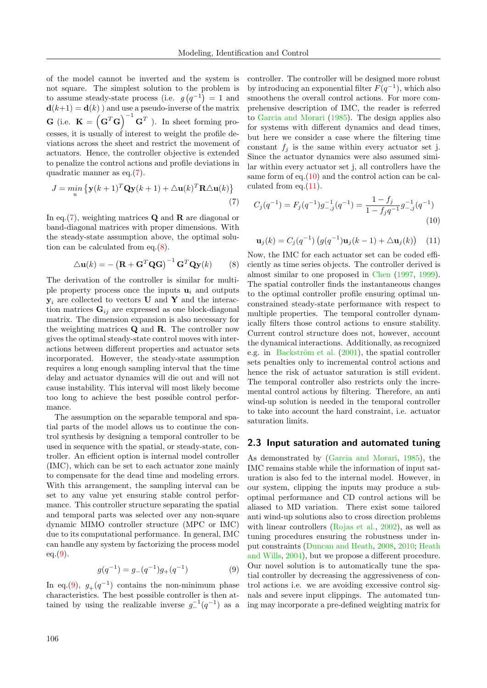of the model cannot be inverted and the system is not square. The simplest solution to the problem is to assume steady-state process (i.e.  $g(q^{-1}) = 1$  and  $\mathbf{d}(k+1) = \mathbf{d}(k)$  ) and use a pseudo-inverse of the matrix **G** (i.e.  $\mathbf{K} = \left(\mathbf{G}^T\mathbf{G}\right)^{-1}\mathbf{G}^T$ ). In sheet forming processes, it is usually of interest to weight the profile deviations across the sheet and restrict the movement of actuators. Hence, the controller objective is extended to penalize the control actions and profile deviations in quadratic manner as eq.[\(7\)](#page-3-0).

$$
J = \min_{u} \left\{ \mathbf{y}(k+1)^{T} \mathbf{Q} \mathbf{y}(k+1) + \Delta \mathbf{u}(k)^{T} \mathbf{R} \Delta \mathbf{u}(k) \right\}
$$
\n(7)

In eq.  $(7)$ , weighting matrices **Q** and **R** are diagonal or band-diagonal matrices with proper dimensions. With the steady-state assumption above, the optimal solution can be calculated from eq.[\(8\)](#page-3-1).

$$
\triangle \mathbf{u}(k) = -(\mathbf{R} + \mathbf{G}^T \mathbf{Q} \mathbf{G})^{-1} \mathbf{G}^T \mathbf{Q} \mathbf{y}(k)
$$
 (8)

The derivation of the controller is similar for multiple property process once the inputs  $\mathbf{u}_i$  and outputs  $y_i$  are collected to vectors U and Y and the interaction matrices  $\mathbf{G}_{ij}$  are expressed as one block-diagonal matrix. The dimension expansion is also necessary for the weighting matrices Q and R. The controller now gives the optimal steady-state control moves with interactions between different properties and actuator sets incorporated. However, the steady-state assumption requires a long enough sampling interval that the time delay and actuator dynamics will die out and will not cause instability. This interval will most likely become too long to achieve the best possible control performance.

The assumption on the separable temporal and spatial parts of the model allows us to continue the control synthesis by designing a temporal controller to be used in sequence with the spatial, or steady-state, controller. An efficient option is internal model controller (IMC), which can be set to each actuator zone mainly to compensate for the dead time and modeling errors. With this arrangement, the sampling interval can be set to any value yet ensuring stable control performance. This controller structure separating the spatial and temporal parts was selected over any non-square dynamic MIMO controller structure (MPC or IMC) due to its computational performance. In general, IMC can handle any system by factorizing the process model  $eq.(9)$  $eq.(9)$ .

$$
g(q^{-1}) = g_{-}(q^{-1})g_{+}(q^{-1})
$$
\n(9)

In eq.[\(9\)](#page-3-2),  $g_{+}(q^{-1})$  contains the non-minimum phase characteristics. The best possible controller is then attained by using the realizable inverse  $g_-^{-1}(q^{-1})$  as a controller. The controller will be designed more robust by introducing an exponential filter  $F(q^{-1})$ , which also smoothens the overall control actions. For more comprehensive description of IMC, the reader is referred to [Garcia and Morari](#page-8-18) [\(1985\)](#page-8-18). The design applies also for systems with different dynamics and dead times, but here we consider a case where the filtering time constant  $f_i$  is the same within every actuator set j. Since the actuator dynamics were also assumed similar within every actuator set j, all controllers have the same form of eq.[\(10\)](#page-3-3) and the control action can be calculated from eq.[\(11\)](#page-3-4).

<span id="page-3-0"></span>
$$
C_j(q^{-1}) = F_j(q^{-1})g_{-,j}^{-1}(q^{-1}) = \frac{1 - f_j}{1 - f_j q^{-1}} g_{-,j}^{-1}(q^{-1})
$$
\n(10)

<span id="page-3-4"></span><span id="page-3-3"></span>
$$
\mathbf{u}_{j}(k) = C_{j}(q^{-1}) \left( g(q^{-1}) \mathbf{u}_{j}(k-1) + \Delta \mathbf{u}_{j}(k) \right) \quad (11)
$$

<span id="page-3-1"></span>Now, the IMC for each actuator set can be coded efficiently as time series objects. The controller derived is almost similar to one proposed in [Chen](#page-8-16) [\(1997,](#page-8-16) [1999\)](#page-8-17). The spatial controller finds the instantaneous changes to the optimal controller profile ensuring optimal unconstrained steady-state performance with respect to multiple properties. The temporal controller dynamically filters those control actions to ensure stability. Current control structure does not, however, account the dynamical interactions. Additionally, as recognized e.g. in Backström et al.  $(2001)$ , the spatial controller sets penalties only to incremental control actions and hence the risk of actuator saturation is still evident. The temporal controller also restricts only the incremental control actions by filtering. Therefore, an anti wind-up solution is needed in the temporal controller to take into account the hard constraint, i.e. actuator saturation limits.

#### 2.3 Input saturation and automated tuning

<span id="page-3-2"></span>As demonstrated by [\(Garcia and Morari,](#page-8-18) [1985\)](#page-8-18), the IMC remains stable while the information of input saturation is also fed to the internal model. However, in our system, clipping the inputs may produce a suboptimal performance and CD control actions will be aliased to MD variation. There exist some tailored anti wind-up solutions also to cross direction problems with linear controllers [\(Rojas et al.,](#page-9-6) [2002\)](#page-9-6), as well as tuning procedures ensuring the robustness under input constraints [\(Duncan and Heath,](#page-8-8) [2008,](#page-8-8) [2010;](#page-8-12) [Heath](#page-8-19) [and Wills,](#page-8-19) [2004\)](#page-8-19), but we propose a different procedure. Our novel solution is to automatically tune the spatial controller by decreasing the aggressiveness of control actions i.e. we are avoiding excessive control signals and severe input clippings. The automated tuning may incorporate a pre-defined weighting matrix for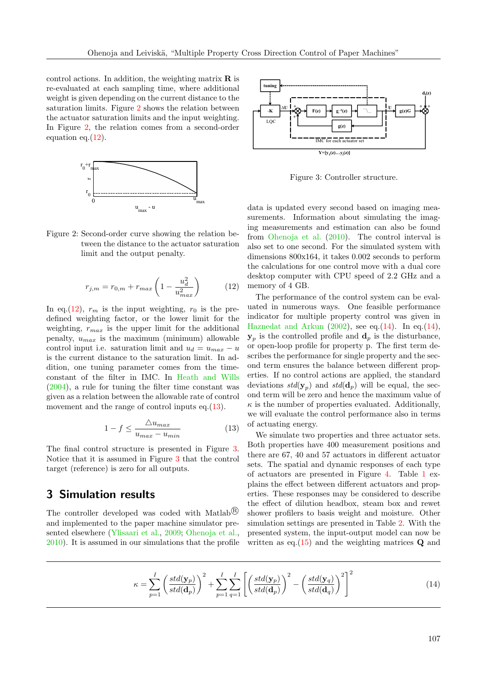control actions. In addition, the weighting matrix  $\bf{R}$  is re-evaluated at each sampling time, where additional weight is given depending on the current distance to the saturation limits. Figure [2](#page-4-0) shows the relation between the actuator saturation limits and the input weighting. In Figure [2,](#page-4-0) the relation comes from a second-order equation eq. $(12)$ .



<span id="page-4-0"></span>

$$
r_{j,m} = r_{0,m} + r_{max} \left( 1 - \frac{u_d^2}{u_{max}^2} \right)
$$
 (12)

In eq.[\(12\)](#page-4-1),  $r_m$  is the input weighting,  $r_0$  is the predefined weighting factor, or the lower limit for the weighting,  $r_{max}$  is the upper limit for the additional penalty,  $u_{max}$  is the maximum (minimum) allowable control input i.e. saturation limit and  $u_d = u_{max} - u$ is the current distance to the saturation limit. In addition, one tuning parameter comes from the timeconstant of the filter in IMC. In [Heath and Wills](#page-8-19) [\(2004\)](#page-8-19), a rule for tuning the filter time constant was given as a relation between the allowable rate of control movement and the range of control inputs eq.[\(13\)](#page-4-2). The magnetic scheme of the indices of the internal of the signal of the signal of the results of the relation of the magnetic and the input weighting.<br>
Figure 2. Second-order curve showing the relation be importanements.

$$
1 - f \le \frac{\triangle u_{max}}{u_{max} - u_{min}} \tag{13}
$$

The final control structure is presented in Figure [3.](#page-4-3) Notice that it is assumed in Figure [3](#page-4-3) that the control target (reference) is zero for all outputs.

## 3 Simulation results

The controller developed was coded with Matlab<sup>®</sup> and implemented to the paper machine simulator presented elsewhere [\(Ylisaari et al.,](#page-9-7) [2009;](#page-9-7) [Ohenoja et al.,](#page-9-8)



<span id="page-4-3"></span>Figure 3: Controller structure.

data is updated every second based on imaging measurements. Information about simulating the imaging measurements and estimation can also be found from [Ohenoja et al.](#page-9-8) [\(2010\)](#page-9-8). The control interval is also set to one second. For the simulated system with dimensions 800x164, it takes 0.002 seconds to perform the calculations for one control move with a dual core desktop computer with CPU speed of 2.2 GHz and a memory of 4 GB.

<span id="page-4-1"></span>The performance of the control system can be evaluated in numerous ways. One feasible performance indicator for multiple property control was given in [Haznedat and Arkun](#page-8-7)  $(2002)$ , see eq. $(14)$ . In eq. $(14)$ ,  $\mathbf{y}_p$  is the controlled profile and  $\mathbf{d}_p$  is the disturbance, or open-loop profile for property p. The first term describes the performance for single property and the second term ensures the balance between different properties. If no control actions are applied, the standard deviations  $std(\mathbf{y}_p)$  and  $std(\mathbf{d}_p)$  will be equal, the second term will be zero and hence the maximum value of  $\kappa$  is the number of properties evaluated. Additionally, we will evaluate the control performance also in terms of actuating energy.

<span id="page-4-4"></span><span id="page-4-2"></span>We simulate two properties and three actuator sets. Both properties have 400 measurement positions and there are 67, 40 and 57 actuators in different actuator sets. The spatial and dynamic responses of each type of actuators are presented in Figure [4.](#page-5-0) Table [1](#page-5-1) explains the effect between different actuators and properties. These responses may be considered to describe the effect of dilution headbox, steam box and rewet shower profilers to basis weight and moisture. Other simulation settings are presented in Table [2.](#page-6-0) With the presented system, the input-output model can now be written as eq.  $(15)$  and the weighting matrices **Q** and

$$
\kappa = \sum_{p=1}^{I} \left( \frac{std(\mathbf{y}_p)}{std(\mathbf{d}_p)} \right)^2 + \sum_{p=1}^{I} \sum_{q=1}^{I} \left[ \left( \frac{std(\mathbf{y}_p)}{std(\mathbf{d}_p)} \right)^2 - \left( \frac{std(\mathbf{y}_q)}{std(\mathbf{d}_q)} \right)^2 \right]^2 \tag{14}
$$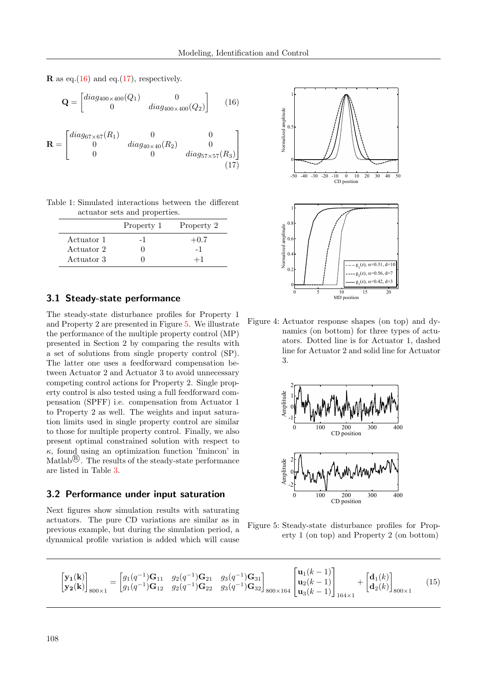**R** as eq.[\(16\)](#page-5-3) and eq.[\(17\)](#page-5-4), respectively.

$$
\mathbf{Q} = \begin{bmatrix} diag_{400 \times 400}(Q_1) & 0 \\ 0 & diag_{400 \times 400}(Q_2) \end{bmatrix}
$$
 (16)

$$
\mathbf{R} = \begin{bmatrix} diag_{67 \times 67}(R_1) & 0 & 0 \\ 0 & diag_{40 \times 40}(R_2) & 0 \\ 0 & 0 & diag_{57 \times 57}(R_3) \end{bmatrix}
$$
(17)

Table 1: Simulated interactions between the different actuator sets and properties.

<span id="page-5-1"></span>

|            | Property 1 | Property 2 |
|------------|------------|------------|
| Actuator 1 | – I        | $+0.7$     |
| Actuator 2 |            |            |
| Actuator 3 |            |            |

## 3.1 Steady-state performance

The steady-state disturbance profiles for Property 1 and Property 2 are presented in Figure [5.](#page-5-5) We illustrate the performance of the multiple property control (MP) presented in Section 2 by comparing the results with a set of solutions from single property control (SP). The latter one uses a feedforward compensation between Actuator 2 and Actuator 3 to avoid unnecessary competing control actions for Property 2. Single property control is also tested using a full feedforward compensation (SPFF) i.e. compensation from Actuator 1 to Property 2 as well. The weights and input saturation limits used in single property control are similar to those for multiple property control. Finally, we also present optimal constrained solution with respect to  $\kappa$ , found using an optimization function 'fmincon' in Matlab<sup>®</sup>. The results of the steady-state performance are listed in Table [3.](#page-6-1)

#### 3.2 Performance under input saturation

Next figures show simulation results with saturating actuators. The pure CD variations are similar as in previous example, but during the simulation period, a dynamical profile variation is added which will cause

<span id="page-5-4"></span><span id="page-5-3"></span>

<span id="page-5-0"></span>Figure 4: Actuator response shapes (on top) and dynamics (on bottom) for three types of actuators. Dotted line is for Actuator 1, dashed line for Actuator 2 and solid line for Actuator 3.



<span id="page-5-5"></span><span id="page-5-2"></span>Figure 5: Steady-state disturbance profiles for Property 1 (on top) and Property 2 (on bottom)

$$
\begin{bmatrix} \mathbf{y_1(k)} \\ \mathbf{y_2(k)} \end{bmatrix}_{800\times 1} = \begin{bmatrix} g_1(q^{-1})\mathbf{G}_{11} & g_2(q^{-1})\mathbf{G}_{21} & g_3(q^{-1})\mathbf{G}_{31} \\ g_1(q^{-1})\mathbf{G}_{12} & g_2(q^{-1})\mathbf{G}_{22} & g_3(q^{-1})\mathbf{G}_{32} \end{bmatrix}_{800\times 164} \begin{bmatrix} \mathbf{u}_1(k-1) \\ \mathbf{u}_2(k-1) \\ \mathbf{u}_3(k-1) \end{bmatrix}_{164\times 1} + \begin{bmatrix} \mathbf{d}_1(k) \\ \mathbf{d}_2(k) \end{bmatrix}_{800\times 1} \tag{15}
$$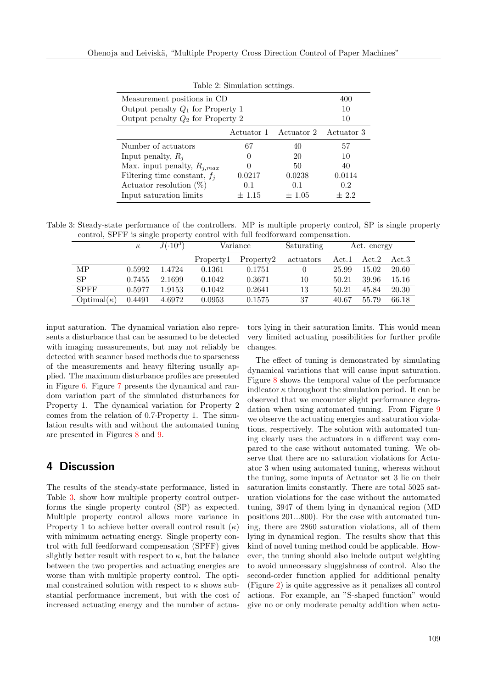| тарле 2. опшиталноп ветлицев.       |            |                                  |        |  |  |  |  |  |
|-------------------------------------|------------|----------------------------------|--------|--|--|--|--|--|
| Measurement positions in CD         | 400        |                                  |        |  |  |  |  |  |
| Output penalty $Q_1$ for Property 1 | 10         |                                  |        |  |  |  |  |  |
| Output penalty $Q_2$ for Property 2 | 10         |                                  |        |  |  |  |  |  |
|                                     |            | Actuator 1 Actuator 2 Actuator 3 |        |  |  |  |  |  |
| Number of actuators                 | 67         | 40                               | 57     |  |  |  |  |  |
| Input penalty, $R_i$                | $\theta$   | 20                               | 10     |  |  |  |  |  |
| Max. input penalty, $R_{i,max}$     |            | 50                               | 40     |  |  |  |  |  |
| Filtering time constant, $f_i$      | 0.0217     | 0.0238                           | 0.0114 |  |  |  |  |  |
| Actuator resolution $(\%)$          | 0.1        | 0.1                              | 0.2    |  |  |  |  |  |
| Input saturation limits             | $\pm$ 1.15 | $\pm 1.05$                       | $+2.2$ |  |  |  |  |  |

<span id="page-6-0"></span>Table 2: Simulation settings.

Table 3: Steady-state performance of the controllers. MP is multiple property control, SP is single property control, SPFF is single property control with full feedforward compensation.

<span id="page-6-1"></span>

|                            | $\kappa$ | $J(.10^3)$ | Variance  |           | Saturating | Act. energy |       |       |
|----------------------------|----------|------------|-----------|-----------|------------|-------------|-------|-------|
|                            |          |            | Property1 | Property2 | actuators  | Act.1       | Act.2 | Act.3 |
| MP                         | 0.5992   | 1.4724     | 0.1361    | 0.1751    |            | 25.99       | 15.02 | 20.60 |
| SP                         | 0.7455   | 2.1699     | 0.1042    | 0.3671    | 10         | 50.21       | 39.96 | 15.16 |
| <b>SPFF</b>                | 0.5977   | 1.9153     | 0.1042    | 0.2641    | 13         | 50.21       | 45.84 | 20.30 |
| $\mathrm{Optimal}(\kappa)$ | 0.4491   | 4.6972     | 0.0953    | 0.1575    | 37         | 40.67       | 55.79 | 66.18 |
|                            |          |            |           |           |            |             |       |       |

input saturation. The dynamical variation also represents a disturbance that can be assumed to be detected with imaging measurements, but may not reliably be detected with scanner based methods due to sparseness of the measurements and heavy filtering usually applied. The maximum disturbance profiles are presented in Figure [6.](#page-7-0) Figure [7](#page-7-1) presents the dynamical and random variation part of the simulated disturbances for Property 1. The dynamical variation for Property 2 comes from the relation of 0.7·Property 1. The simulation results with and without the automated tuning are presented in Figures [8](#page-7-2) and [9.](#page-7-3)

## 4 Discussion

The results of the steady-state performance, listed in Table [3,](#page-6-1) show how multiple property control outperforms the single property control (SP) as expected. Multiple property control allows more variance in Property 1 to achieve better overall control result  $(\kappa)$ with minimum actuating energy. Single property control with full feedforward compensation (SPFF) gives slightly better result with respect to  $\kappa$ , but the balance between the two properties and actuating energies are worse than with multiple property control. The optimal constrained solution with respect to  $\kappa$  shows substantial performance increment, but with the cost of increased actuating energy and the number of actuators lying in their saturation limits. This would mean very limited actuating possibilities for further profile changes.

The effect of tuning is demonstrated by simulating dynamical variations that will cause input saturation. Figure [8](#page-7-2) shows the temporal value of the performance indicator  $\kappa$  throughout the simulation period. It can be observed that we encounter slight performance degradation when using automated tuning. From Figure [9](#page-7-3) we observe the actuating energies and saturation violations, respectively. The solution with automated tuning clearly uses the actuators in a different way compared to the case without automated tuning. We observe that there are no saturation violations for Actuator 3 when using automated tuning, whereas without the tuning, some inputs of Actuator set 3 lie on their saturation limits constantly. There are total 5025 saturation violations for the case without the automated tuning, 3947 of them lying in dynamical region (MD positions 201...800). For the case with automated tuning, there are 2860 saturation violations, all of them lying in dynamical region. The results show that this kind of novel tuning method could be applicable. However, the tuning should also include output weighting to avoid unnecessary sluggishness of control. Also the second-order function applied for additional penalty (Figure [2\)](#page-4-0) is quite aggressive as it penalizes all control actions. For example, an "S-shaped function" would give no or only moderate penalty addition when actu-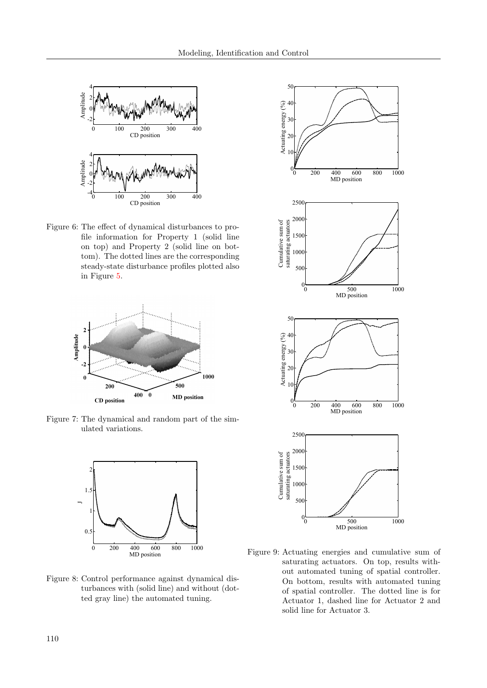

<span id="page-7-0"></span>Figure 6: The effect of dynamical disturbances to profile information for Property 1 (solid line on top) and Property 2 (solid line on bottom). The dotted lines are the corresponding steady-state disturbance profiles plotted also in Figure [5.](#page-5-5)



<span id="page-7-1"></span>Figure 7: The dynamical and random part of the simulated variations.



<span id="page-7-2"></span>Figure 8: Control performance against dynamical disturbances with (solid line) and without (dotted gray line) the automated tuning.



<span id="page-7-3"></span>Figure 9: Actuating energies and cumulative sum of saturating actuators. On top, results without automated tuning of spatial controller. On bottom, results with automated tuning of spatial controller. The dotted line is for Actuator 1, dashed line for Actuator 2 and solid line for Actuator 3.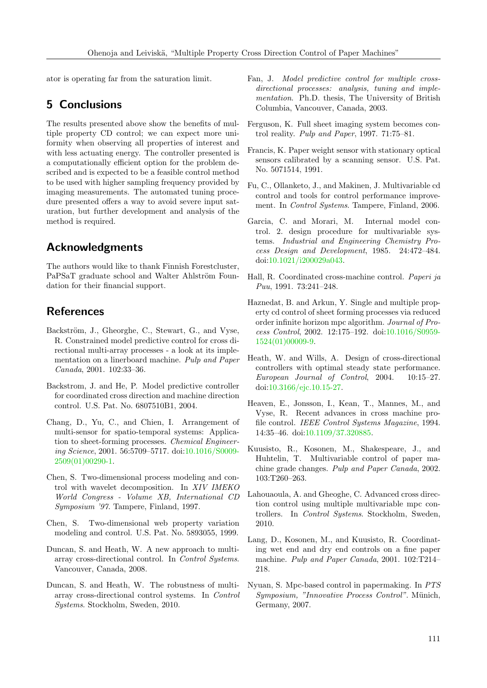ator is operating far from the saturation limit.

# 5 Conclusions

The results presented above show the benefits of multiple property CD control; we can expect more uniformity when observing all properties of interest and with less actuating energy. The controller presented is a computationally efficient option for the problem described and is expected to be a feasible control method to be used with higher sampling frequency provided by imaging measurements. The automated tuning procedure presented offers a way to avoid severe input saturation, but further development and analysis of the method is required.

# Acknowledgments

The authors would like to thank Finnish Forestcluster, PaPSaT graduate school and Walter Ahlström Foundation for their financial support.

## **References**

- <span id="page-8-6"></span>Backström, J., Gheorghe, C., Stewart, G., and Vyse, R. Constrained model predictive control for cross directional multi-array processes - a look at its implementation on a linerboard machine. Pulp and Paper Canada, 2001. 102:33–36.
- <span id="page-8-0"></span>Backstrom, J. and He, P. Model predictive controller for coordinated cross direction and machine direction control. U.S. Pat. No. 6807510B1, 2004.
- <span id="page-8-13"></span>Chang, D., Yu, C., and Chien, I. Arrangement of multi-sensor for spatio-temporal systems: Application to sheet-forming processes. Chemical Engineering Science, 2001. 56:5709–5717. doi[:10.1016/S0009-](http://dx.doi.org/10.1016/S0009-2509(01)00290-1) [2509\(01\)00290-1.](http://dx.doi.org/10.1016/S0009-2509(01)00290-1)
- <span id="page-8-16"></span>Chen, S. Two-dimensional process modeling and control with wavelet decomposition. In XIV IMEKO World Congress - Volume XB, International CD Symposium '97. Tampere, Finland, 1997.
- <span id="page-8-17"></span>Chen, S. Two-dimensional web property variation modeling and control. U.S. Pat. No. 5893055, 1999.
- <span id="page-8-8"></span>Duncan, S. and Heath, W. A new approach to multiarray cross-directional control. In Control Systems. Vancouver, Canada, 2008.
- <span id="page-8-12"></span>Duncan, S. and Heath, W. The robustness of multiarray cross-directional control systems. In Control Systems. Stockholm, Sweden, 2010.
- <span id="page-8-9"></span>Fan, J. Model predictive control for multiple crossdirectional processes: analysis, tuning and implementation. Ph.D. thesis, The University of British Columbia, Vancouver, Canada, 2003.
- <span id="page-8-15"></span>Ferguson, K. Full sheet imaging system becomes control reality. Pulp and Paper, 1997. 71:75–81.
- <span id="page-8-14"></span>Francis, K. Paper weight sensor with stationary optical sensors calibrated by a scanning sensor. U.S. Pat. No. 5071514, 1991.
- <span id="page-8-10"></span>Fu, C., Ollanketo, J., and Makinen, J. Multivariable cd control and tools for control performance improvement. In Control Systems. Tampere, Finland, 2006.
- <span id="page-8-18"></span>Garcia, C. and Morari, M. Internal model control. 2. design procedure for multivariable systems. Industrial and Engineering Chemistry Process Design and Development, 1985. 24:472–484. doi[:10.1021/i200029a043.](http://dx.doi.org/10.1021/i200029a043)
- <span id="page-8-4"></span>Hall, R. Coordinated cross-machine control. Paperi ja Puu, 1991. 73:241–248.
- <span id="page-8-7"></span>Haznedat, B. and Arkun, Y. Single and multiple property cd control of sheet forming processes via reduced order infinite horizon mpc algorithm. Journal of Process Control, 2002. 12:175–192. doi[:10.1016/S0959-](http://dx.doi.org/10.1016/S0959-1524(01)00009-9) [1524\(01\)00009-9.](http://dx.doi.org/10.1016/S0959-1524(01)00009-9)
- <span id="page-8-19"></span>Heath, W. and Wills, A. Design of cross-directional controllers with optimal steady state performance. European Journal of Control, 2004. 10:15–27. doi[:10.3166/ejc.10.15-27.](http://dx.doi.org/10.3166/ejc.10.15-27)
- <span id="page-8-5"></span>Heaven, E., Jonsson, I., Kean, T., Mannes, M., and Vyse, R. Recent advances in cross machine profile control. IEEE Control Systems Magazine, 1994. 14:35–46. doi[:10.1109/37.320885.](http://dx.doi.org/10.1109/37.320885)
- <span id="page-8-2"></span>Kuusisto, R., Kosonen, M., Shakespeare, J., and Huhtelin, T. Multivariable control of paper machine grade changes. Pulp and Paper Canada, 2002. 103:T260–263.
- <span id="page-8-11"></span>Lahouaoula, A. and Gheoghe, C. Advanced cross direction control using multiple multivariable mpc controllers. In Control Systems. Stockholm, Sweden, 2010.
- <span id="page-8-1"></span>Lang, D., Kosonen, M., and Kuusisto, R. Coordinating wet end and dry end controls on a fine paper machine. Pulp and Paper Canada, 2001. 102:T214– 218.
- <span id="page-8-3"></span>Nyuan, S. Mpc-based control in papermaking. In PTS Symposium, "Innovative Process Control". Münich, Germany, 2007.